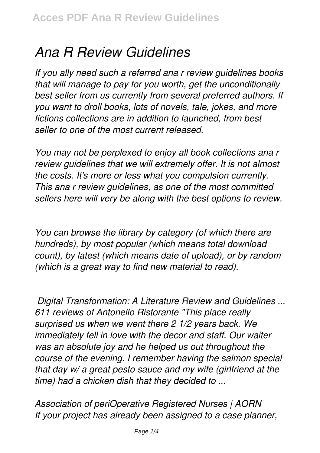## *Ana R Review Guidelines*

*If you ally need such a referred ana r review guidelines books that will manage to pay for you worth, get the unconditionally best seller from us currently from several preferred authors. If you want to droll books, lots of novels, tale, jokes, and more fictions collections are in addition to launched, from best seller to one of the most current released.*

*You may not be perplexed to enjoy all book collections ana r review guidelines that we will extremely offer. It is not almost the costs. It's more or less what you compulsion currently. This ana r review guidelines, as one of the most committed sellers here will very be along with the best options to review.*

*You can browse the library by category (of which there are hundreds), by most popular (which means total download count), by latest (which means date of upload), or by random (which is a great way to find new material to read).*

*Digital Transformation: A Literature Review and Guidelines ... 611 reviews of Antonello Ristorante "This place really surprised us when we went there 2 1/2 years back. We immediately fell in love with the decor and staff. Our waiter was an absolute joy and he helped us out throughout the course of the evening. I remember having the salmon special that day w/ a great pesto sauce and my wife (girlfriend at the time) had a chicken dish that they decided to ...*

*Association of periOperative Registered Nurses | AORN If your project has already been assigned to a case planner,*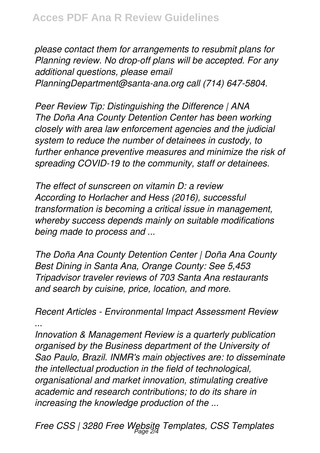*please contact them for arrangements to resubmit plans for Planning review. No drop-off plans will be accepted. For any additional questions, please email PlanningDepartment@santa-ana.org call (714) 647-5804.*

*Peer Review Tip: Distinguishing the Difference | ANA The Doña Ana County Detention Center has been working closely with area law enforcement agencies and the judicial system to reduce the number of detainees in custody, to further enhance preventive measures and minimize the risk of spreading COVID-19 to the community, staff or detainees.*

*The effect of sunscreen on vitamin D: a review According to Horlacher and Hess (2016), successful transformation is becoming a critical issue in management, whereby success depends mainly on suitable modifications being made to process and ...*

*The Doña Ana County Detention Center | Doña Ana County Best Dining in Santa Ana, Orange County: See 5,453 Tripadvisor traveler reviews of 703 Santa Ana restaurants and search by cuisine, price, location, and more.*

*Recent Articles - Environmental Impact Assessment Review ...*

*Innovation & Management Review is a quarterly publication organised by the Business department of the University of Sao Paulo, Brazil. INMR's main objectives are: to disseminate the intellectual production in the field of technological, organisational and market innovation, stimulating creative academic and research contributions; to do its share in increasing the knowledge production of the ...*

*Free CSS | 3280 Free Website Templates, CSS Templates* Page 2/4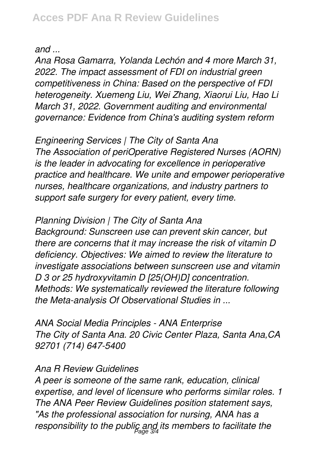*and ...*

*Ana Rosa Gamarra, Yolanda Lechón and 4 more March 31, 2022. The impact assessment of FDI on industrial green competitiveness in China: Based on the perspective of FDI heterogeneity. Xuemeng Liu, Wei Zhang, Xiaorui Liu, Hao Li March 31, 2022. Government auditing and environmental governance: Evidence from China's auditing system reform*

*Engineering Services | The City of Santa Ana The Association of periOperative Registered Nurses (AORN) is the leader in advocating for excellence in perioperative practice and healthcare. We unite and empower perioperative nurses, healthcare organizations, and industry partners to support safe surgery for every patient, every time.*

*Planning Division | The City of Santa Ana Background: Sunscreen use can prevent skin cancer, but there are concerns that it may increase the risk of vitamin D deficiency. Objectives: We aimed to review the literature to investigate associations between sunscreen use and vitamin D 3 or 25 hydroxyvitamin D [25(OH)D] concentration. Methods: We systematically reviewed the literature following the Meta-analysis Of Observational Studies in ...*

*ANA Social Media Principles - ANA Enterprise The City of Santa Ana. 20 Civic Center Plaza, Santa Ana,CA 92701 (714) 647-5400*

## *Ana R Review Guidelines*

*A peer is someone of the same rank, education, clinical expertise, and level of licensure who performs similar roles. 1 The ANA Peer Review Guidelines position statement says, "As the professional association for nursing, ANA has a* responsibility to the public and its members to facilitate the